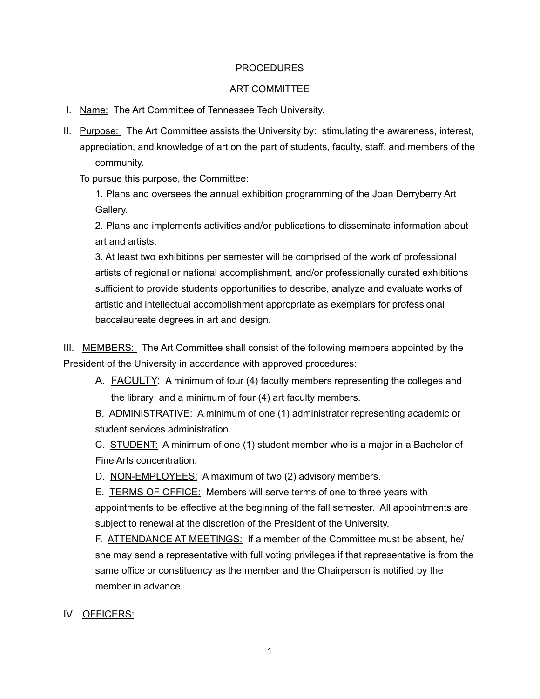#### PROCEDURES

#### ART COMMITTEE

- I. Name: The Art Committee of Tennessee Tech University.
- II. Purpose: The Art Committee assists the University by: stimulating the awareness, interest, appreciation, and knowledge of art on the part of students, faculty, staff, and members of the community.

To pursue this purpose, the Committee:

 1. Plans and oversees the annual exhibition programming of the Joan Derryberry Art Gallery.

 2. Plans and implements activities and/or publications to disseminate information about art and artists.

 3. At least two exhibitions per semester will be comprised of the work of professional artists of regional or national accomplishment, and/or professionally curated exhibitions sufficient to provide students opportunities to describe, analyze and evaluate works of artistic and intellectual accomplishment appropriate as exemplars for professional baccalaureate degrees in art and design.

III. MEMBERS: The Art Committee shall consist of the following members appointed by the President of the University in accordance with approved procedures:

A. **FACULTY:** A minimum of four (4) faculty members representing the colleges and the library; and a minimum of four (4) art faculty members.

 B. ADMINISTRATIVE: A minimum of one (1) administrator representing academic or student services administration.

 C. STUDENT: A minimum of one (1) student member who is a major in a Bachelor of Fine Arts concentration.

D. NON-EMPLOYEES: A maximum of two (2) advisory members.

 E. TERMS OF OFFICE: Members will serve terms of one to three years with appointments to be effective at the beginning of the fall semester. All appointments are subject to renewal at the discretion of the President of the University.

 F. ATTENDANCE AT MEETINGS: If a member of the Committee must be absent, he/ she may send a representative with full voting privileges if that representative is from the same office or constituency as the member and the Chairperson is notified by the member in advance.

IV. OFFICERS: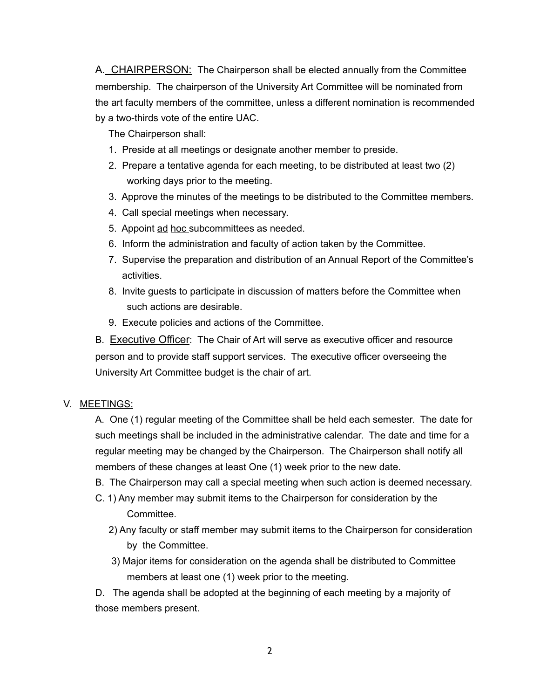A. CHAIRPERSON: The Chairperson shall be elected annually from the Committee membership. The chairperson of the University Art Committee will be nominated from the art faculty members of the committee, unless a different nomination is recommended by a two-thirds vote of the entire UAC.

The Chairperson shall:

- 1. Preside at all meetings or designate another member to preside.
- 2. Prepare a tentative agenda for each meeting, to be distributed at least two (2) working days prior to the meeting.
- 3. Approve the minutes of the meetings to be distributed to the Committee members.
- 4. Call special meetings when necessary.
- 5. Appoint ad hoc subcommittees as needed.
- 6. Inform the administration and faculty of action taken by the Committee.
- 7. Supervise the preparation and distribution of an Annual Report of the Committee's activities.
- 8. Invite guests to participate in discussion of matters before the Committee when such actions are desirable.
- 9. Execute policies and actions of the Committee.

B. Executive Officer: The Chair of Art will serve as executive officer and resource person and to provide staff support services. The executive officer overseeing the University Art Committee budget is the chair of art.

### V. MEETINGS:

 A. One (1) regular meeting of the Committee shall be held each semester. The date for such meetings shall be included in the administrative calendar. The date and time for a regular meeting may be changed by the Chairperson. The Chairperson shall notify all members of these changes at least One (1) week prior to the new date.

- B. The Chairperson may call a special meeting when such action is deemed necessary.
- C. 1) Any member may submit items to the Chairperson for consideration by the Committee.
	- 2) Any faculty or staff member may submit items to the Chairperson for consideration by the Committee.
	- 3) Major items for consideration on the agenda shall be distributed to Committee members at least one (1) week prior to the meeting.

 D. The agenda shall be adopted at the beginning of each meeting by a majority of those members present.